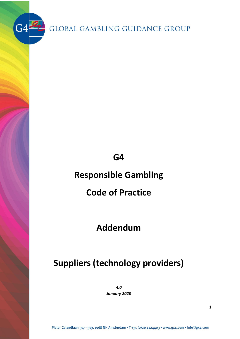$G4$ 

# **G4**

# **Responsible Gambling**

# **Code of Practice**

# **Addendum**

# **Suppliers (technology providers)**

*4.0*

*January 2020*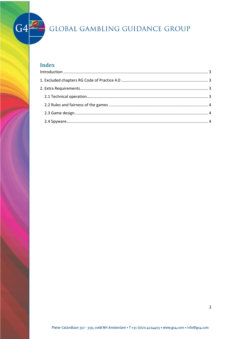

### **Index**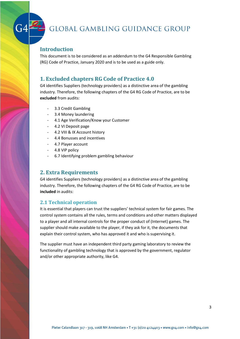#### <span id="page-2-0"></span>**Introduction**

This document is to be considered as an addendum to the G4 Responsible Gambling (RG) Code of Practice, January 2020 and is to be used as a guide only.

#### <span id="page-2-1"></span>**1. Excluded chapters RG Code of Practice 4.0**

G4 identifies Suppliers (technology providers) as a distinctive area of the gambling industry. Therefore, the following chapters of the G4 RG Code of Practice, are to be **excluded** from audits:

- 3.3 Credit Gambling
- 3.4 Money laundering
- 4.1 Age Verification/Know your Customer
- 4.2 VI Deposit page
- 4.2 VIII & IX Account history
- 4.4 Bonusses and incentives
- 4.7 Player account
- 4.8 VIP policy
- 6.7 Identifying problem gambling behaviour

#### <span id="page-2-2"></span>**2. Extra Requirements**

G4 identifies Suppliers (technology providers) as a distinctive area of the gambling industry. Therefore, the following chapters of the G4 RG Code of Practice, are to be **included** in audits:

#### <span id="page-2-3"></span>**2.1 Technical operation**

It is essential that players can trust the suppliers' technical system for fair games. The control system contains all the rules, terms and conditions and other matters displayed to a player and all internal controls for the proper conduct of (Internet) games. The supplier should make available to the player, if they ask for it, the documents that explain their control system, who has approved it and who is supervising it.

The supplier must have an independent third party gaming laboratory to review the functionality of gambling technology that is approved by the government, regulator and/or other appropriate authority, like G4.